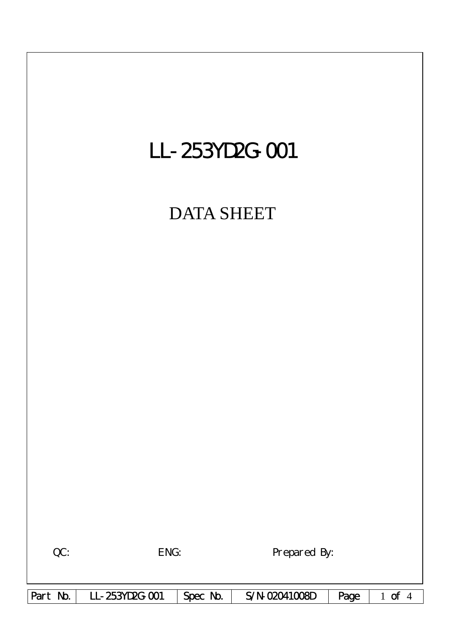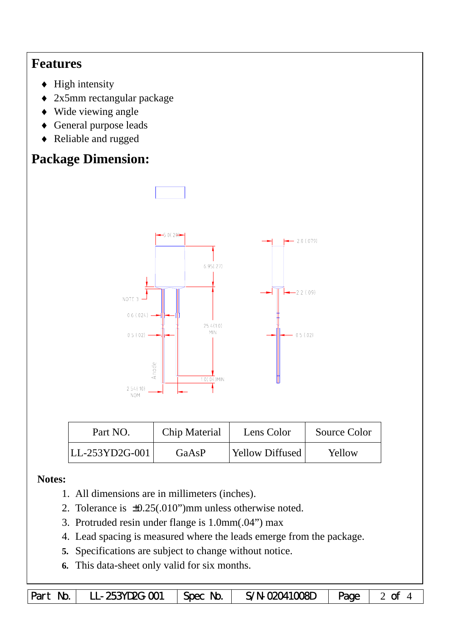## **Features**

- $\blacklozenge$  High intensity
- ♦ 2x5mm rectangular package
- ♦ Wide viewing angle
- ♦ General purpose leads
- ♦ Reliable and rugged

# **Package Dimension:**



| Part NO.       | Chip Material                   | Lens Color | Source Color |  |
|----------------|---------------------------------|------------|--------------|--|
| LL-253YD2G-001 | <b>Yellow Diffused</b><br>GaAsP |            | Yellow       |  |

### **Notes:**

- 1. All dimensions are in millimeters (inches).
- 2. Tolerance is  $\pm 0.25(.010")$  mm unless otherwise noted.
- 3. Protruded resin under flange is 1.0mm(.04") max
- 4. Lead spacing is measured where the leads emerge from the package.
- **5.** Specifications are subject to change without notice.
- **6.** This data-sheet only valid for six months.

|  | Part No.   LL-253YD2G-001   Spec No.   S/N-02041008D   Page   2 of 4 |  |  |  |  |
|--|----------------------------------------------------------------------|--|--|--|--|
|--|----------------------------------------------------------------------|--|--|--|--|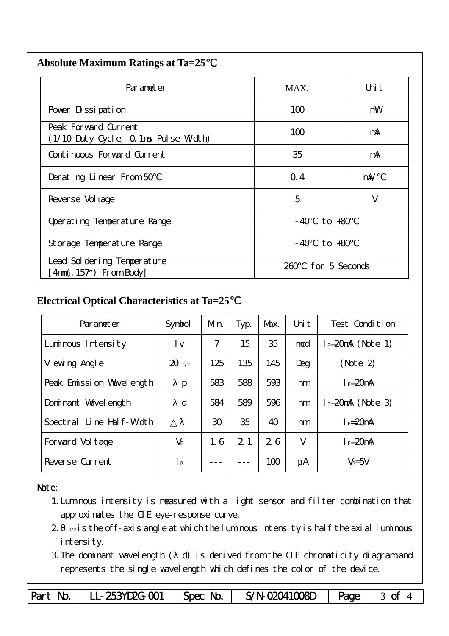| <b>Absolute Maximum Ratings at Ta=25</b> |  |
|------------------------------------------|--|
|                                          |  |

| Parameter                                                    | MAX.                  | Uni t      |
|--------------------------------------------------------------|-----------------------|------------|
| Pover Dissipation                                            | 100                   | mW         |
| Peak Forward Current<br>(1/10 Duty Cycle, 0.1ms Pulse Width) | 100                   | mA         |
| Continuous Forward Current                                   | 35                    | mA         |
| Derating Linear From 50                                      | Q.4                   | $m\lambda$ |
| Reverse Vol tage                                             | 5                     | V          |
| Operating Temperature Range                                  | to $+80$<br>- 40      |            |
| Storage Temperature Range                                    | $-40$ to $+80$        |            |
| Lead Sol dering Temperature<br>4nm(. 157") From Body         | for 5 Seconds<br>260. |            |

#### **Electrical Optical Characteristics at Ta=25**℃

| Parameter                | Symbol                | Mn. | Typ.           | Max. | Uni t | Test Condition       |
|--------------------------|-----------------------|-----|----------------|------|-------|----------------------|
| Luminous Intensity       | l v                   | 7   | 15             | 35   | mcd   | $I_F=20$ mA (Note 1) |
| Vi ewing Angl e          | $\overline{2}$<br>1/2 | 125 | 135            | 145  | Deg   | (Note 2)             |
| Peak Emission Wavelength | p                     | 583 | 588            | 593  | nm    | $I_F = 20$ mA        |
| Dominant Wavelength      | $\mathbf d$           | 584 | 589            | 596  | nm    | $I = 20mA$ (Note 3)  |
| Spectral Line Half-Width |                       | 30  | 35             | 40   | nm    | $I_F = 20$ mA        |
| Forward Voltage          | $V_F$                 | 1.6 | 2 <sub>1</sub> | 26   | V     | $I_F = 20$ mA        |
| Reverse Current          | $\mathsf{R}$          |     |                | 100  | μA    | $V_R = 5V$           |

#### Note:

- 1.Luminous intensity is measured with a light sensor and filter combination that approximates the CIE eye-response curve.
- $2 1/2$  is the off-axis angle at which the luminous intensity is half the axial luminous i ntensity.
- 3.The dominant wavelength ( d) is derived from the CIE chromaticity diagram and represents the single wavelength which defines the color of the device.

Part No. | LL-253YD2G-001 | Spec No. | S/N-02041008D | Page | 3 of 4